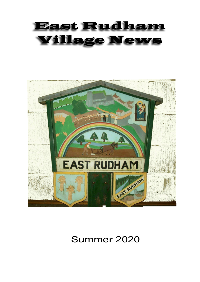# East Rudham **Village News**



# Summer 2020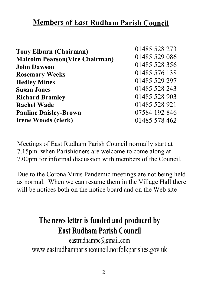### **Members of East Rudham Parish Council**

| 01485 528 273 |
|---------------|
| 01485 529 086 |
| 01485 528 356 |
| 01485 576 138 |
| 01485 529 297 |
| 01485 528 243 |
| 01485 528 903 |
| 01485 528 921 |
| 07584 192 846 |
| 01485 578 462 |
|               |

Meetings of East Rudham Parish Council normally start at 7.15pm. when Parishioners are welcome to come along at 7.00pm for informal discussion with members of the Council.

Due to the Corona Virus Pandemic meetings are not being held as normal. When we can resume them in the Village Hall there will be notices both on the notice board and on the Web site

# **The news letter is funded and produced by East Rudham Parish Council**

eastrudhampc@gmail.com www.eastrudhamparishcouncil.norfolkparishes.gov.uk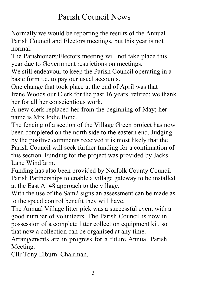# Parish Council News

Normally we would be reporting the results of the Annual Parish Council and Electors meetings, but this year is not normal.

The Parishioners/Electors meeting will not take place this year due to Government restrictions on meetings.

We still endeavour to keep the Parish Council operating in a basic form i.e. to pay our usual accounts.

One change that took place at the end of April was that Irene Woods our Clerk for the past 16 years retired; we thank her for all her conscientious work.

A new clerk replaced her from the beginning of May; her name is Mrs Jodie Bond.

The fencing of a section of the Village Green project has now been completed on the north side to the eastern end. Judging by the positive comments received it is most likely that the Parish Council will seek further funding for a continuation of this section. Funding for the project was provided by Jacks Lane Windfarm.

Funding has also been provided by Norfolk County Council Parish Partnerships to enable a village gateway to be installed at the East A148 approach to the village.

With the use of the Sam2 signs an assessment can be made as to the speed control benefit they will have.

The Annual Village litter pick was a successful event with a good number of volunteers. The Parish Council is now in possession of a complete litter collection equipment kit, so that now a collection can be organised at any time.

Arrangements are in progress for a future Annual Parish Meeting.

Cllr Tony Elburn. Chairman.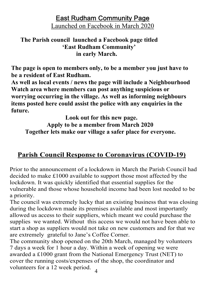**East Rudham Community Page** Launched on Facebook in March 2020

#### **The Parish council launched a Facebook page titled 'East Rudham Community' in early March.**

**The page is open to members only, to be a member you just have to be a resident of East Rudham.**

**As well as local events / news the page will include a Neighbourhood Watch area where members can post anything suspicious or worrying occurring in the village. As well as informing neighbours items posted here could assist the police with any enquiries in the future.**

 **Look out for this new page. Apply to be a member from March 2020 Together lets make our village a safer place for everyone.**

#### **Parish Council Response to Coronavirus (COVID-19)**

Prior to the announcement of a lockdown in March the Parish Council had decided to make £1000 available to support those most affected by the lockdown. It was quickly identified that essential supplies for the vulnerable and those whose household income had been lost needed to be a priority.

The council was extremely lucky that an existing business that was closing during the lockdown made its premises available and most importantly allowed us access to their suppliers, which meant we could purchase the supplies we wanted. Without this access we would not have been able to start a shop as suppliers would not take on new customers and for that we are extremely grateful to Jane's Coffee Corner.

4 The community shop opened on the 20th March, managed by volunteers 7 days a week for 1 hour a day. Within a week of opening we were awarded a £1000 grant from the National Emergency Trust (NET) to cover the running costs/expenses of the shop, the coordinator and volunteers for a 12 week period.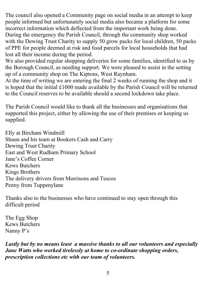The council also opened a Community page on social media in an attempt to keep people informed but unfortunately social media also became a platform for some incorrect information which deflected from the important work being done. During the emergency the Parish Council, through the community shop worked with the Dewing Trust Charity to supply 50 grow packs for local children, 50 packs of PPE for people deemed at risk and food parcels for local households that had lost all their income during the period.

We also provided regular shopping deliveries for some families, identified to us by the Borough Council, as needing support. We were pleased to assist in the setting up of a community shop on The Kiptons, West Raynham.

At the time of writing we are entering the final 2 weeks of running the shop and it is hoped that the initial £1000 made available by the Parish Council will be returned to the Council reserves to be available should a second lockdown take place.

The Parish Council would like to thank all the businesses and organisations that supported this project, either by allowing the use of their premises or keeping us supplied.

Elly at Bircham Windmill Shaun and his team at Bookers Cash and Carry Dewing Trust Charity East and West Rudham Primary School Jane's Coffee Corner Kews Butchers Kings Brothers The delivery drivers from Morrisons and Tescos Penny from Tuppenylane

Thanks also to the businesses who have continued to stay open through this difficult period

The Egg Shop Kews Butchers Nanny P's

*Lastly but by no means least a massive thanks to all our volunteers and especially Jane Watts who worked tirelessly at home to co-ordinate shopping orders, prescription collections etc with our team of volunteers.*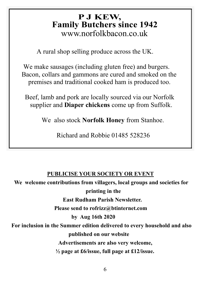### **Family Butchers since 1942 P J KEW,** www.norfolkbacon.co.uk

A rural shop selling produce across the UK.

 We make sausages (including gluten free) and burgers. Bacon, collars and gammons are cured and smoked on the premises and traditional cooked ham is produced too.

 Beef, lamb and pork are locally sourced via our Norfolk supplier and **Diaper chickens** come up from Suffolk.

We also stock **Norfolk Honey** from Stanhoe.

Richard and Robbie 01485 528236

#### **PUBLICISE YOUR SOCIETY OR EVENT**

 **We welcome contributions from villagers, local groups and societies for printing in the East Rudham Parish Newsletter. Please send to rofrizz@btinternet.com by Aug 16th 2020 For inclusion in the Summer edition delivered to every household and also published on our website Advertisements are also very welcome, ½ page at £6/issue, full page at £12/issue.**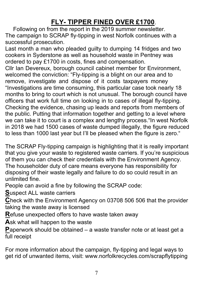### **FLY- TIPPER FINED OVER £1700**.

 Following on from the report in the 2019 summer newsletter. The campaign to SCRAP fly-tipping in west Norfolk continues with a successful prosecution.

Last month a man who pleaded guilty to dumping 14 fridges and two cookers in Syderstone as well as household waste in Pentney was ordered to pay £1700 in costs, fines and compensation.

Cllr Ian Devereux, borough council cabinet member for Environment, welcomed the conviction: "Fly-tipping is a blight on our area and to remove, investigate and dispose of it costs taxpayers money "Investigations are time consuming, this particular case took nearly 18 months to bring to court which is not unusual. The borough council have officers that work full time on looking in to cases of illegal fly-tipping. Checking the evidence, chasing up leads and reports from members of the public. Putting that information together and getting to a level where we can take it to court is a complex and lengthy process."In west Norfolk in 2018 we had 1500 cases of waste dumped illegally, the figure reduced to less than 1000 last year but I'll be pleased when the figure is zero."

The SCRAP Fly-tipping campaign is highlighting that it is really important that you give your waste to registered waste carriers. If you're suspicious of them you can check their credentials with the Environment Agency. The householder duty of care means everyone has responsibility for disposing of their waste legally and failure to do so could result in an unlimited fine.

People can avoid a fine by following the SCRAP code:

**S**uspect ALL waste carriers

**C**heck with the Environment Agency on 03708 506 506 that the provider taking the waste away is licensed

**R**efuse unexpected offers to have waste taken away

**A**sk what will happen to the waste

**P**aperwork should be obtained – a waste transfer note or at least get a full receipt

For more information about the campaign, fly-tipping and legal ways to get rid of unwanted items, visit: www.norfolkrecycles.com/scrapflytipping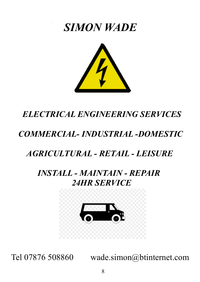# *SIMON WADE*



# *ELECTRICAL ENGINEERING SERVICES*

# *COMMERCIAL- INDUSTRIAL -DOMESTIC*

# *AGRICULTURAL - RETAIL - LEISURE*

## *INSTALL - MAINTAIN - REPAIR 24HR SERVICE*



Tel 07876 508860 wade.simon@btinternet.com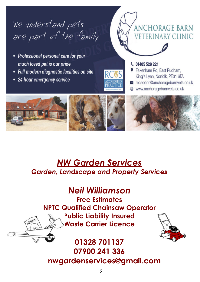# We understand pets are part of the family

- Professional personal care for your much loved pet is our pride
- Full modern diagnostic facilities on site
- 24 hour emergency service



↓ 01485 528 221

- **9** Fakenham Rd. East Rudham. King's Lynn, Norfolk, PE31 6TA
- $\ge$  reception@anchoragebarnvets.co.uk

**ANCHORAGE BARN** 

**VETERINARY CLINIC** 

www.anchoragebarnvets.co.uk



# *NW Garden Services Garden, Landscape and Property Services*

# *Neil Williamson*

**Free Estimates NPTC Qualified Chainsaw Operator Public Liability Insured Waste Carrier Licence**



# **01328 701137 07900 241 336 nwgardenservices@gmail.com**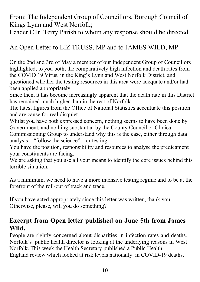From: The Independent Group of Councillors, Borough Council of Kings Lynn and West Norfolk;

Leader Cllr. Terry Parish to whom any response should be directed.

#### An Open Letter to LIZ TRUSS, MP and to JAMES WILD, MP

On the 2nd and 3rd of May a member of our Independent Group of Councillors highlighted, to you both, the comparatively high infection and death rates from the COVID 19 Virus, in the King's Lynn and West Norfolk District, and questioned whether the testing resources in this area were adequate and/or had been applied appropriately.

Since then, it has become increasingly apparent that the death rate in this District has remained much higher than in the rest of Norfolk.

The latest figures from the Office of National Statistics accentuate this position and are cause for real disquiet.

Whilst you have both expressed concern, nothing seems to have been done by Government, and nothing substantial by the County Council or Clinical

Commissioning Group to understand why this is the case, either through data analysis – "follow the science" – or testing.

You have the position, responsibility and resources to analyse the predicament your constituents are facing.

We are asking that you use all your means to identify the core issues behind this terrible situation.

As a minimum, we need to have a more intensive testing regime and to be at the forefront of the roll-out of track and trace.

If you have acted appropriately since this letter was written, thank you. Otherwise, please, will you do something?

#### **Excerpt from Open letter published on June 5th from James Wild.**

People are rightly concerned about disparities in infection rates and deaths. Norfolk's public health director is looking at the underlying reasons in West Norfolk. This week the Health Secretary published a Public Health England review which looked at risk levels nationally in COVID-19 deaths.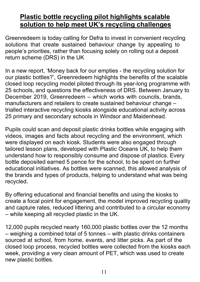#### Plastic bottle recycling pilot highlights scalable **solution to help meet UK's recycling challenges**

Greenredeem is today calling for Defra to invest in convenient recycling solutions that create sustained behaviour change by appealing to people's priorities, rather than focusing solely on rolling out a deposit return scheme (DRS) in the UK

In a new report, 'Money back for our empties - the recycling solution for our plastic bottles?', Greenredeem highlights the benefits of the scalable closed loop recycling model piloted through its year-long programme with 25 schools, and questions the effectiveness of DRS. Between January to December 2019, Greenredeem – which works with councils, brands, manufacturers and retailers to create sustained behaviour change – trialled interactive recycling kiosks alongside educational activity across 25 primary and secondary schools in Windsor and Maidenhead.

Pupils could scan and deposit plastic drinks bottles while engaging with videos, images and facts about recycling and the environment, which were displayed on each kiosk. Students were also engaged through tailored lesson plans, developed with Plastic Oceans UK, to help them understand how to responsibly consume and dispose of plastics. Every bottle deposited earned 5 pence for the school, to be spent on further educational initiatives. As bottles were scanned, this allowed analysis of the brands and types of products, helping to understand what was being recycled.

By offering educational and financial benefits and using the kiosks to create a focal point for engagement, the model improved recycling quality and capture rates, reduced littering and contributed to a circular economy – while keeping all recycled plastic in the UK.

12,000 pupils recycled nearly 160,000 plastic bottles over the 12 months – weighing a combined total of 5 tonnes – with plastic drinks containers sourced at school, from home, events, and litter picks. As part of the closed loop process, recycled bottles were collected from the kiosks each week, providing a very clean amount of PET, which was used to create new plastic bottles.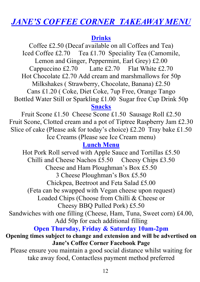## *JANE'S COFFEE CORNER TAKEAWAY MENU*

#### **Drinks**

Coffee £2.50 (Decaf available on all Coffees and Tea) Iced Coffee £2.70 Tea £1.70 Speciality Tea (Camomile, Lemon and Ginger, Peppermint, Earl Grey) £2.00 Cappuccino £2.70 Latte £2.70 Flat White £2.70 Hot Chocolate £2.70 Add cream and marshmallows for 50p Milkshakes ( Strawberry, Chocolate, Banana) £2.50 Cans £1.20 ( Coke, Diet Coke, 7up Free, Orange Tango Bottled Water Still or Sparkling £1.00 Sugar free Cup Drink 50p **Snacks**

Fruit Scone £1.50 Cheese Scone £1.50 Sausage Roll £2.50 Fruit Scone, Clotted cream and a pot of Tiptree Raspberry Jam £2.30 Slice of cake (Please ask for today's choice) £2.20 Tray bake £1.50 Ice Creams (Please see Ice Cream menu)

#### **Lunch Menu**

Hot Pork Roll served with Apple Sauce and Tortillas £5.50 Chilli and Cheese Nachos £5.50 Cheesy Chips £3.50 Cheese and Ham Ploughman's Box £5.50 3 Cheese Ploughman's Box £5.50 Chickpea, Beetroot and Feta Salad £5.00 (Feta can be swapped with Vegan cheese upon request) Loaded Chips (Choose from Chilli & Cheese or Cheesy BBQ Pulled Pork) £5.50 Sandwiches with one filling (Cheese, Ham, Tuna, Sweet corn) £4.00, Add 50p for each additional filling **Open Thursday, Friday & Saturday 10am-2pm Opening times subject to change and extension and will be advertised on Jane's Coffee Corner Facebook Page** Please ensure you maintain a good social distance whilst waiting for take away food, Contactless payment method preferred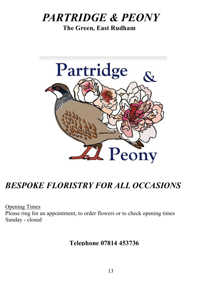# *PARTRIDGE & PEONY*

 **The Green, East Rudham**



# *BESPOKE FLORISTRY FOR ALL OCCASIONS*

Opening Times Please ring for an appointment, to order flowers or to check opening times Sunday - closed

**Telephone 07814 453736**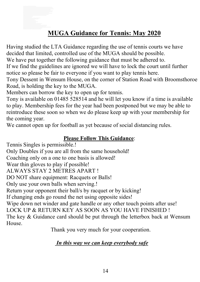## **MUGA Guidance for Tennis: May 2020**

Having studied the LTA Guidance regarding the use of tennis courts we have decided that limited, controlled use of the MUGA should be possible.

We have put together the following guidance that must be adhered to.

If we find the guidelines are ignored we will have to lock the court until further notice so please be fair to everyone if you want to play tennis here.

Tony Dessent in Wensum House, on the corner of Station Road with Broomsthoroe Road, is holding the key to the MUGA.

Members can borrow the key to open up for tennis.

Tony is available on 01485 528514 and he will let you know if a time is available to play. Membership fees for the year had been postponed but we may be able to reintroduce these soon so when we do please keep up with your membership for the coming year.

We cannot open up for football as yet because of social distancing rules.

#### **Please Follow This Guidance**:

Tennis Singles is permissible.! Only Doubles if you are all from the same household! Coaching only on a one to one basis is allowed! Wear thin gloves to play if possible! ALWAYS STAY 2 METRES APART ! DO NOT share equipment: Racquets or Balls! Only use your own balls when serving.! Return your opponent their ball/s by racquet or by kicking! If changing ends go round the net using opposite sides! Wipe down net winder and gate handle or any other touch points after use! LOCK UP & RETURN KEY AS SOON AS YOU HAVE FINISHED ! The key & Guidance card should be put through the letterbox back at Wensum House.

Thank you very much for your cooperation.

#### *In this way we can keep everybody safe*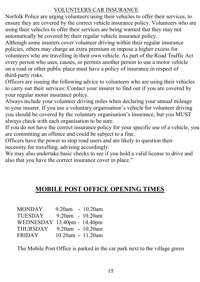#### VOLUNTEERS CAR INSURANCE

Norfolk Police are urging volunteers using their vehicles to offer their services, to ensure they are covered by the correct vehicle insurance policy. Volunteers who are using their vehicles to offer their services are being warned that they may not automatically be covered by their regular vehicle insurance policy.

Although some insurers cover volunteer driving within their regular insurance policies, others may charge an extra premium or impose a higher excess for volunteers who are travelling in their own vehicle. As part of the Road Traffic Act every person who uses, causes, or permits another person to use a motor vehicle on a road or other public place must have a policy of insurance in respect of third-party risks.

Officers are issuing the following advice to volunteers who are using their vehicles to carry out their services: Contact your insurer to find out if you are covered by your regular motor insurance policy.

Always include your volunteer driving miles when declaring your annual mileage to your insurer. If you use a voluntary organisation's vehicle for volunteer driving you should be covered by the voluntary organisation's insurance, but you MUST always check with each organisation to be sure.

If you do not have the correct insurance policy for your specific use of a vehicle, you are committing an offence and could be subject to a fine.

Officers have the power to stop road users and are likely to question their necessity for travelling, advising accordingly.

We may also undertake basic checks to see if you hold a valid license to drive and also that you have the correct insurance cover in place."

#### **MOBILE POST OFFICE OPENING TIMES**

| <b>MONDAY</b>               | $9.20$ am - $10.20$ am |                  |
|-----------------------------|------------------------|------------------|
| <b>TUESDAY</b>              | 9.20am - 10.20am       |                  |
| WEDNESDAY 13.40pm - 14.40pm |                        |                  |
| THURSDAY                    |                        | 9.20am - 10.20am |
| <b>FRIDAY</b>               | 10.20am - 11.20am      |                  |

The Mobile Post Office is parked in the car park next to the village green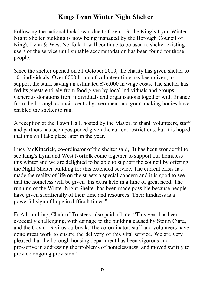#### **Kings Lynn Winter Night Shelter**

Following the national lockdown, due to Covid-19, the King's Lynn Winter Night Shelter building is now being managed by the Borough Council of King's Lynn & West Norfolk. It will continue to be used to shelter existing users of the service until suitable accommodation has been found for those people.

Since the shelter opened on 31 October 2019, the charity has given shelter to 101 individuals. Over 6000 hours of volunteer time has been given, to support the staff, saving an estimated £76,000 in wage costs. The shelter has fed its guests entirely from food given by local individuals and groups. Generous donations from individuals and organisations together with finance from the borough council, central government and grant-making bodies have enabled the shelter to run.

A reception at the Town Hall, hosted by the Mayor, to thank volunteers, staff and partners has been postponed given the current restrictions, but it is hoped that this will take place later in the year.

Lucy McKitterick, co-ordinator of the shelter said, "It has been wonderful to see King's Lynn and West Norfolk come together to support our homeless this winter and we are delighted to be able to support the council by offering the Night Shelter building for this extended service. The current crisis has made the reality of life on the streets a special concern and it is good to see that the homeless will be given this extra help in a time of great need. The running of the Winter Night Shelter has been made possible because people have given sacrificially of their time and resources. Their kindness is a powerful sign of hope in difficult times ".

Fr Adrian Ling, Chair of Trustees, also paid tribute: "This year has been especially challenging, with damage to the building caused by Storm Ciara, and the Covid-19 virus outbreak. The co-ordinator, staff and volunteers have done great work to ensure the delivery of this vital service. We are very pleased that the borough housing department has been vigorous and pro-active in addressing the problems of homelessness, and moved swiftly to provide ongoing provision."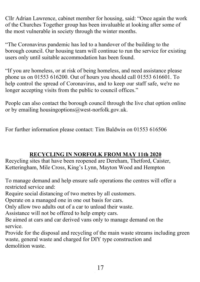Cllr Adrian Lawrence, cabinet member for housing, said: "Once again the work of the Churches Together group has been invaluable at looking after some of the most vulnerable in society through the winter months.

"The Coronavirus pandemic has led to a handover of the building to the borough council. Our housing team will continue to run the service for existing users only until suitable accommodation has been found.

"If you are homeless, or at risk of being homeless, and need assistance please phone us on 01553 616200. Out of hours you should call 01553 616601. To help control the spread of Coronavirus, and to keep our staff safe, we're no longer accepting visits from the public to council offices."

People can also contact the borough council through the live chat option online or by emailing housingoptions@west-norfolk.gov.uk.

For further information please contact: Tim Baldwin on 01553 616506

#### **RECYCLING IN NORFOLK FROM MAY 11th 2020**

Recycling sites that have been reopened are Dereham, Thetford, Caister, Ketteringham, Mile Cross, King's Lynn, Mayton Wood and Hempton

To manage demand and help ensure safe operations the centres will offer a restricted service and:

Require social distancing of two metres by all customers.

Operate on a managed one in one out basis for cars.

Only allow two adults out of a car to unload their waste.

Assistance will not be offered to help empty cars.

Be aimed at cars and car derived vans only to manage demand on the service.

Provide for the disposal and recycling of the main waste streams including green waste, general waste and charged for DIY type construction and demolition waste.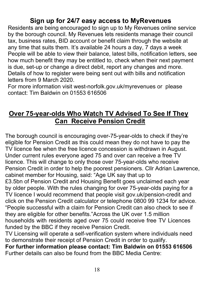#### **Sign up for 24/7 easy access to MyRevenues**

Residents are being encouraged to sign up to My Revenues online service by the borough council. My Revenues lets residents manage their council tax, business rates, BID account or benefit claim through the website at any time that suits them. It's available 24 hours a day, 7 days a week People will be able to view their balance, latest bills, notification letters, see how much benefit they may be entitled to, check when their next payment is due, set-up or change a direct debit, report any changes and more. Details of how to register were being sent out with bills and notification letters from 9 March 2020.

For more information visit west-norfolk.gov.uk/myrevenues or please contact: Tim Baldwin on 01553 616506

#### **Over 75-year-olds Who Watch TV Advised To See If They Can Receive Pension Credit**

The borough council is encouraging over-75-year-olds to check if they're eligible for Pension Credit as this could mean they do not have to pay the TV licence fee when the free licence concession is withdrawn in August. Under current rules everyone aged 75 and over can receive a free TV licence. This will change to only those over 75-year-olds who receive Pension Credit in order to help the poorest pensioners. Cllr Adrian Lawrence, cabinet member for Housing, said: "Age UK say that up to £3.5bn of Pension Credit and Housing Benefit goes unclaimed each year by older people. With the rules changing for over 75-year-olds paying for a TV licence I would recommend that people visit gov.uk/pension-credit and click on the Pension Credit calculator or telephone 0800 99 1234 for advice. "People successful with a claim for Pension Credit can also check to see if they are eligible for other benefits."Across the UK over 1.5 million households with residents aged over 75 could receive free TV Licences funded by the BBC if they receive Pension Credit.

TV Licensing will operate a self-verification system where individuals need to demonstrate their receipt of Pension Credit in order to qualify.

**For further information please contact: Tim Baldwin on 01553 616506** Further details can also be found from the BBC Media Centre: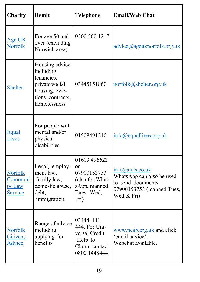| Charity                                         | Remit                                                                                                              | <b>Telephone</b>                                                                           | <b>Email/Web Chat</b>                                                                                        |
|-------------------------------------------------|--------------------------------------------------------------------------------------------------------------------|--------------------------------------------------------------------------------------------|--------------------------------------------------------------------------------------------------------------|
| Age UK<br><b>Norfolk</b>                        | For age 50 and<br>over (excluding<br>Norwich area)                                                                 | 0300 500 1217                                                                              | advice@ageuknorfolk.org.uk                                                                                   |
| <b>Shelter</b>                                  | Housing advice<br>including<br>tenancies,<br>private/social<br>housing, evic-<br>tions, contracts,<br>homelessness | 03445151860                                                                                | norfolk@shelter.org.uk                                                                                       |
| <b>Equal</b><br>Lives                           | For people with<br>mental and/or<br>physical<br>disabilities                                                       | 01508491210                                                                                | $info(\omega)$ equallives.org.uk                                                                             |
| <b>Norfolk</b><br>Communi-<br>ty Law<br>Service | Legal, employ-<br>ment law,<br>family law,<br>domestic abuse,<br>debt,<br>immigration                              | 01603 496623<br>or<br>07900153753<br>(also for What-<br>sApp, manned<br>Tues, Wed,<br>Fri) | info@ncls.co.uk<br>WhatsApp can also be used<br>to send documents<br>07900153753 (manned Tues,<br>Wed & Fri) |
| <b>Norfolk</b><br><b>Citizens</b><br>Advice     | Range of advice<br>including<br>applying for<br>benefits                                                           | 03444 111<br>444. For Uni-<br>versal Credit<br>'Help to<br>Claim' contact<br>0800 1448444  | www.ncab.org.uk and click<br>'email advice'.<br>Webchat available.                                           |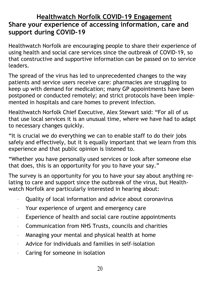#### **Healthwatch Norfolk COVID-19 Engagement Share your experience of accessing information, care and support during COVID-19**

Healthwatch Norfolk are encouraging people to share their experience of using health and social care services since the outbreak of COVID-19, so that constructive and supportive information can be passed on to service leaders.

The spread of the virus has led to unprecedented changes to the way patients and service users receive care: pharmacies are struggling to keep up with demand for medication; many GP appointments have been postponed or conducted remotely; and strict protocols have been implemented in hospitals and care homes to prevent infection.

Healthwatch Norfolk Chief Executive, Alex Stewart said: "For all of us that use local services it is an unusual time, where we have had to adapt to necessary changes quickly.

"It is crucial we do everything we can to enable staff to do their jobs safely and effectively, but it is equally important that we learn from this experience and that public opinion is listened to.

"Whether you have personally used services or look after someone else that does, this is an opportunity for you to have your say."

The survey is an opportunity for you to have your say about anything relating to care and support since the outbreak of the virus, but Healthwatch Norfolk are particularly interested in hearing about:

- ꞏ Quality of local information and advice about coronavirus
- ꞏ Your experience of urgent and emergency care
- Experience of health and social care routine appointments
- ꞏ Communication from NHS Trusts, councils and charities
- $\cdot$  Managing your mental and physical health at home
- ꞏ Advice for individuals and families in self-isolation
- ꞏ Caring for someone in isolation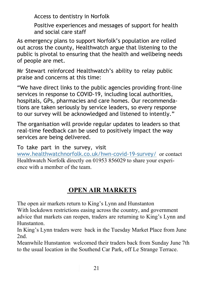Access to dentistry in Norfolk

Positive experiences and messages of support for health and social care staff

As emergency plans to support Norfolk's population are rolled out across the county, Healthwatch argue that listening to the public is pivotal to ensuring that the health and wellbeing needs of people are met.

Mr Stewart reinforced Healthwatch's ability to relay public praise and concerns at this time:

"We have direct links to the public agencies providing front-line services in response to COVID-19, including local authorities, hospitals, GPs, pharmacies and care homes. Our recommendations are taken seriously by service leaders, so every response to our survey will be acknowledged and listened to intently."

The organisation will provide regular updates to leaders so that real-time feedback can be used to positively impact the way services are being delivered.

To take part in the survey, visit

www.healthwatchnorfolk.co.uk/hwn-covid-19-survey/ or contact Healthwatch Norfolk directly on 01953 856029 to share your experience with a member of the team.

### **OPEN AIR MARKETS**

The open air markets return to King's Lynn and Hunstanton

With lockdown restrictions easing across the country, and government advice that markets can reopen, traders are returning to King's Lynn and Hunstanton.

In King's Lynn traders were back in the Tuesday Market Place from June 2nd.

Meanwhile Hunstanton welcomed their traders back from Sunday June 7th to the usual location in the Southend Car Park, off Le Strange Terrace.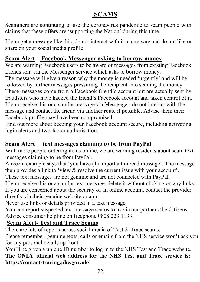#### **SCAMS**

Scammers are continuing to use the coronavirus pandemic to scam people with claims that these offers are 'supporting the Nation' during this time.

If you get a message like this, do not interact with it in any way and do not like or share on your social media profile

#### **Scam Alert** – **Facebook Messenger asking to borrow money**

We are warning Facebook users to be aware of messages from existing Facebook friends sent via the Messenger service which asks to borrow money.

The message will give a reason why the money is needed 'urgently' and will be followed by further messages pressuring the recipient into sending the money. These messages come from a Facebook friend's account but are actually sent by fraudsters who have hacked the friend's Facebook account and taken control of it. If you receive this or a similar message via Messenger, do not interact with the message and contact the friend via another route if possible. Advise them their Facebook profile may have been compromised.

Find out more about keeping your Facebook account secure, including activating login alerts and two-factor authorisation.

#### **Scam Alert** – **text messages claiming to be from PayPal**

With more people ordering items online, we are warning residents about scam text messages claiming to be from PayPal.

A recent example says that 'you have (1) important unread message'. The message then provides a link to 'view & resolve the current issue with your account'.

These text messages are not genuine and are not connected with PayPal.

If you receive this or a similar text message, delete it without clicking on any links. If you are concerned about the security of an online account, contact the provider directly via their genuine website or app.

Never use links or details provided in a text message.

You can report suspected text message scams to us via our partners the Citizens Advice consumer helpline on freephone 0808 223 1133.

#### **Scam Alert- Test and Trace Scams**

There are lots of reports across social media of Test & Trace scams.

Please remember, genuine texts, calls or emails from the NHS service won't ask you for any personal details up front.

You'll be given a unique ID number to log in to the NHS Test and Trace website. **The ONLY official web address for the NHS Test and Trace service is: https://contact-tracing.phe.gov.uk/**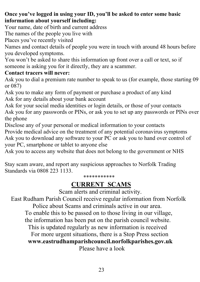**Once you've logged in using your ID, you'll be asked to enter some basic information about yourself including:**

Your name, date of birth and current address

The names of the people you live with

Places you've recently visited

Names and contact details of people you were in touch with around 48 hours before you developed symptoms.

You won't be asked to share this information up front over a call or text, so if someone is asking you for it directly, they are a scammer.

#### **Contact tracers will never:**

Ask you to dial a premium rate number to speak to us (for example, those starting 09 or 087)

Ask you to make any form of payment or purchase a product of any kind Ask for any details about your bank account

Ask for your social media identities or login details, or those of your contacts Ask you for any passwords or PINs, or ask you to set up any passwords or PINs over

the phone

Disclose any of your personal or medical information to your contacts

Provide medical advice on the treatment of any potential coronavirus symptoms Ask you to download any software to your PC or ask you to hand over control of your PC, smartphone or tablet to anyone else

Ask you to access any website that does not belong to the government or NHS

Stay scam aware, and report any suspicious approaches to Norfolk Trading Standards via 0808 223 1133.

\*\*\*\*\*\*\*\*\*\*\*

### **CURRENT SCAMS**

Scam alerts and criminal activity.

 East Rudham Parish Council receive regular information from Norfolk Police about Scams and criminals active in our area. To enable this to be passed on to those living in our village, the information has been put on the parish council website. This is updated regularly as new information is received For more urgent situations, there is a Stop Press section **www.eastrudhamparishcouncil.norfolkparishes.gov.uk** Please have a look